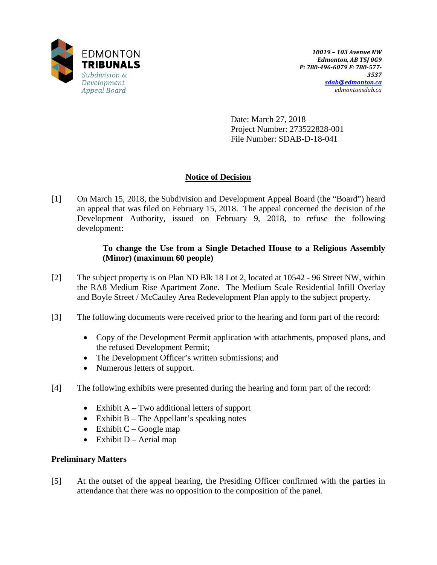

Date: March 27, 2018 Project Number: 273522828-001 File Number: SDAB-D-18-041

# **Notice of Decision**

[1] On March 15, 2018, the Subdivision and Development Appeal Board (the "Board") heard an appeal that was filed on February 15, 2018. The appeal concerned the decision of the Development Authority, issued on February 9, 2018, to refuse the following development:

## **To change the Use from a Single Detached House to a Religious Assembly (Minor) (maximum 60 people)**

- [2] The subject property is on Plan ND Blk 18 Lot 2, located at 10542 96 Street NW, within the RA8 Medium Rise Apartment Zone. The Medium Scale Residential Infill Overlay and Boyle Street / McCauley Area Redevelopment Plan apply to the subject property.
- [3] The following documents were received prior to the hearing and form part of the record:
	- Copy of the Development Permit application with attachments, proposed plans, and the refused Development Permit;
	- The Development Officer's written submissions; and
	- Numerous letters of support.
- [4] The following exhibits were presented during the hearing and form part of the record:
	- Exhibit  $A Two additional letters of support$
	- Exhibit B The Appellant's speaking notes
	- Exhibit  $C Google map$
	- Exhibit  $D -$  Aerial map

### **Preliminary Matters**

[5] At the outset of the appeal hearing, the Presiding Officer confirmed with the parties in attendance that there was no opposition to the composition of the panel.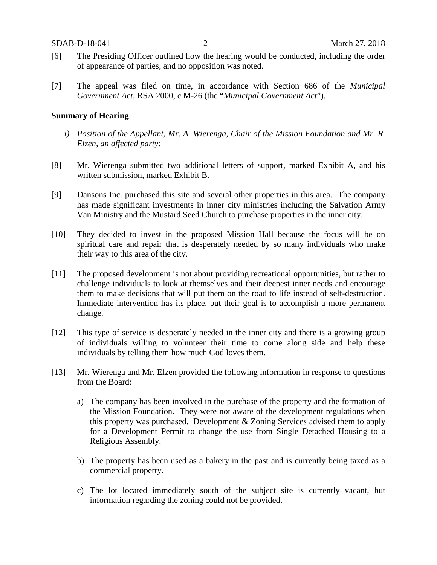- [6] The Presiding Officer outlined how the hearing would be conducted, including the order of appearance of parties, and no opposition was noted.
- [7] The appeal was filed on time, in accordance with Section 686 of the *Municipal Government Act*, RSA 2000, c M-26 (the "*Municipal Government Act*").

#### **Summary of Hearing**

- *i) Position of the Appellant, Mr. A. Wierenga, Chair of the Mission Foundation and Mr. R. Elzen, an affected party:*
- [8] Mr. Wierenga submitted two additional letters of support, marked Exhibit A, and his written submission, marked Exhibit B.
- [9] Dansons Inc. purchased this site and several other properties in this area. The company has made significant investments in inner city ministries including the Salvation Army Van Ministry and the Mustard Seed Church to purchase properties in the inner city.
- [10] They decided to invest in the proposed Mission Hall because the focus will be on spiritual care and repair that is desperately needed by so many individuals who make their way to this area of the city.
- [11] The proposed development is not about providing recreational opportunities, but rather to challenge individuals to look at themselves and their deepest inner needs and encourage them to make decisions that will put them on the road to life instead of self-destruction. Immediate intervention has its place, but their goal is to accomplish a more permanent change.
- [12] This type of service is desperately needed in the inner city and there is a growing group of individuals willing to volunteer their time to come along side and help these individuals by telling them how much God loves them.
- [13] Mr. Wierenga and Mr. Elzen provided the following information in response to questions from the Board:
	- a) The company has been involved in the purchase of the property and the formation of the Mission Foundation. They were not aware of the development regulations when this property was purchased. Development & Zoning Services advised them to apply for a Development Permit to change the use from Single Detached Housing to a Religious Assembly.
	- b) The property has been used as a bakery in the past and is currently being taxed as a commercial property.
	- c) The lot located immediately south of the subject site is currently vacant, but information regarding the zoning could not be provided.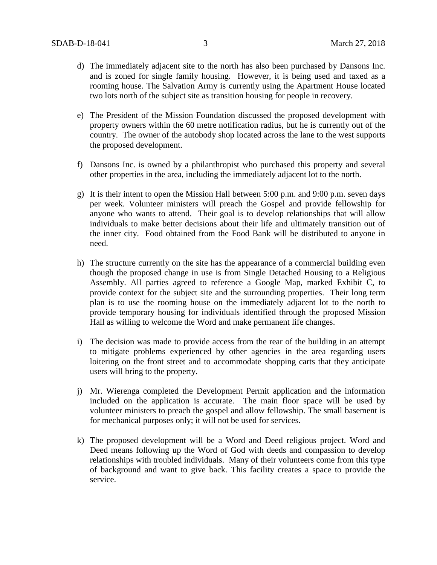- d) The immediately adjacent site to the north has also been purchased by Dansons Inc. and is zoned for single family housing. However, it is being used and taxed as a rooming house. The Salvation Army is currently using the Apartment House located two lots north of the subject site as transition housing for people in recovery.
- e) The President of the Mission Foundation discussed the proposed development with property owners within the 60 metre notification radius, but he is currently out of the country. The owner of the autobody shop located across the lane to the west supports the proposed development.
- f) Dansons Inc. is owned by a philanthropist who purchased this property and several other properties in the area, including the immediately adjacent lot to the north.
- g) It is their intent to open the Mission Hall between 5:00 p.m. and 9:00 p.m. seven days per week. Volunteer ministers will preach the Gospel and provide fellowship for anyone who wants to attend. Their goal is to develop relationships that will allow individuals to make better decisions about their life and ultimately transition out of the inner city. Food obtained from the Food Bank will be distributed to anyone in need.
- h) The structure currently on the site has the appearance of a commercial building even though the proposed change in use is from Single Detached Housing to a Religious Assembly. All parties agreed to reference a Google Map, marked Exhibit C, to provide context for the subject site and the surrounding properties. Their long term plan is to use the rooming house on the immediately adjacent lot to the north to provide temporary housing for individuals identified through the proposed Mission Hall as willing to welcome the Word and make permanent life changes.
- i) The decision was made to provide access from the rear of the building in an attempt to mitigate problems experienced by other agencies in the area regarding users loitering on the front street and to accommodate shopping carts that they anticipate users will bring to the property.
- j) Mr. Wierenga completed the Development Permit application and the information included on the application is accurate. The main floor space will be used by volunteer ministers to preach the gospel and allow fellowship. The small basement is for mechanical purposes only; it will not be used for services.
- k) The proposed development will be a Word and Deed religious project. Word and Deed means following up the Word of God with deeds and compassion to develop relationships with troubled individuals. Many of their volunteers come from this type of background and want to give back. This facility creates a space to provide the service.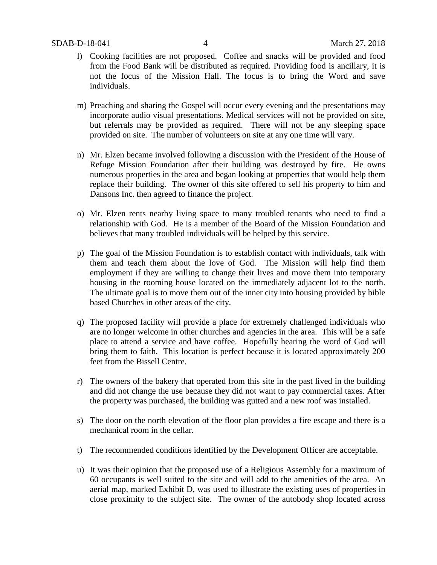- l) Cooking facilities are not proposed. Coffee and snacks will be provided and food from the Food Bank will be distributed as required. Providing food is ancillary, it is not the focus of the Mission Hall. The focus is to bring the Word and save individuals.
- m) Preaching and sharing the Gospel will occur every evening and the presentations may incorporate audio visual presentations. Medical services will not be provided on site, but referrals may be provided as required. There will not be any sleeping space provided on site. The number of volunteers on site at any one time will vary.
- n) Mr. Elzen became involved following a discussion with the President of the House of Refuge Mission Foundation after their building was destroyed by fire. He owns numerous properties in the area and began looking at properties that would help them replace their building. The owner of this site offered to sell his property to him and Dansons Inc. then agreed to finance the project.
- o) Mr. Elzen rents nearby living space to many troubled tenants who need to find a relationship with God. He is a member of the Board of the Mission Foundation and believes that many troubled individuals will be helped by this service.
- p) The goal of the Mission Foundation is to establish contact with individuals, talk with them and teach them about the love of God. The Mission will help find them employment if they are willing to change their lives and move them into temporary housing in the rooming house located on the immediately adjacent lot to the north. The ultimate goal is to move them out of the inner city into housing provided by bible based Churches in other areas of the city.
- q) The proposed facility will provide a place for extremely challenged individuals who are no longer welcome in other churches and agencies in the area. This will be a safe place to attend a service and have coffee. Hopefully hearing the word of God will bring them to faith. This location is perfect because it is located approximately 200 feet from the Bissell Centre.
- r) The owners of the bakery that operated from this site in the past lived in the building and did not change the use because they did not want to pay commercial taxes. After the property was purchased, the building was gutted and a new roof was installed.
- s) The door on the north elevation of the floor plan provides a fire escape and there is a mechanical room in the cellar.
- t) The recommended conditions identified by the Development Officer are acceptable.
- u) It was their opinion that the proposed use of a Religious Assembly for a maximum of 60 occupants is well suited to the site and will add to the amenities of the area. An aerial map, marked Exhibit D, was used to illustrate the existing uses of properties in close proximity to the subject site. The owner of the autobody shop located across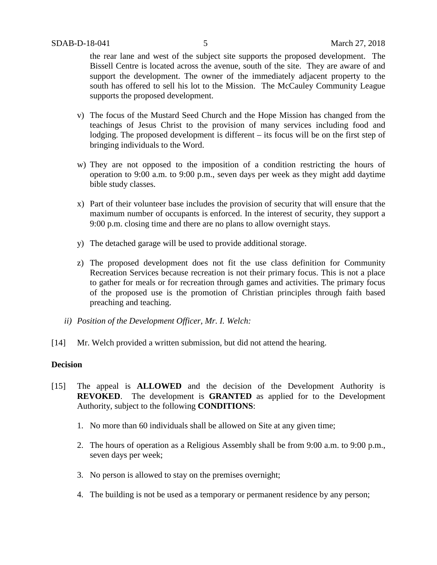the rear lane and west of the subject site supports the proposed development. The Bissell Centre is located across the avenue, south of the site. They are aware of and support the development. The owner of the immediately adjacent property to the south has offered to sell his lot to the Mission. The McCauley Community League supports the proposed development.

- v) The focus of the Mustard Seed Church and the Hope Mission has changed from the teachings of Jesus Christ to the provision of many services including food and lodging. The proposed development is different – its focus will be on the first step of bringing individuals to the Word.
- w) They are not opposed to the imposition of a condition restricting the hours of operation to 9:00 a.m. to 9:00 p.m., seven days per week as they might add daytime bible study classes.
- x) Part of their volunteer base includes the provision of security that will ensure that the maximum number of occupants is enforced. In the interest of security, they support a 9:00 p.m. closing time and there are no plans to allow overnight stays.
- y) The detached garage will be used to provide additional storage.
- z) The proposed development does not fit the use class definition for Community Recreation Services because recreation is not their primary focus. This is not a place to gather for meals or for recreation through games and activities. The primary focus of the proposed use is the promotion of Christian principles through faith based preaching and teaching.
- *ii) Position of the Development Officer, Mr. I. Welch:*
- [14] Mr. Welch provided a written submission, but did not attend the hearing.

## **Decision**

- [15] The appeal is **ALLOWED** and the decision of the Development Authority is **REVOKED**. The development is **GRANTED** as applied for to the Development Authority, subject to the following **CONDITIONS**:
	- 1. No more than 60 individuals shall be allowed on Site at any given time;
	- 2. The hours of operation as a Religious Assembly shall be from 9:00 a.m. to 9:00 p.m., seven days per week;
	- 3. No person is allowed to stay on the premises overnight;
	- 4. The building is not be used as a temporary or permanent residence by any person;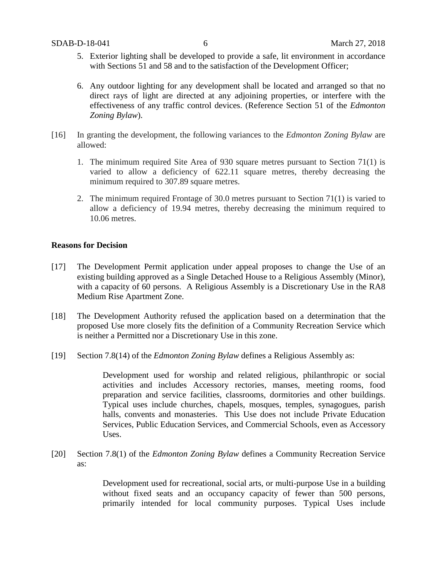- 5. Exterior lighting shall be developed to provide a safe, lit environment in accordance with Sections 51 and 58 and to the satisfaction of the Development Officer;
- 6. Any outdoor lighting for any development shall be located and arranged so that no direct rays of light are directed at any adjoining properties, or interfere with the effectiveness of any traffic control devices. (Reference Section 51 of the *Edmonton Zoning Bylaw*).
- [16] In granting the development, the following variances to the *Edmonton Zoning Bylaw* are allowed:
	- 1. The minimum required Site Area of 930 square metres pursuant to Section 71(1) is varied to allow a deficiency of 622.11 square metres, thereby decreasing the minimum required to 307.89 square metres.
	- 2. The minimum required Frontage of 30.0 metres pursuant to Section 71(1) is varied to allow a deficiency of 19.94 metres, thereby decreasing the minimum required to 10.06 metres.

#### **Reasons for Decision**

- [17] The Development Permit application under appeal proposes to change the Use of an existing building approved as a Single Detached House to a Religious Assembly (Minor), with a capacity of 60 persons. A Religious Assembly is a Discretionary Use in the RA8 Medium Rise Apartment Zone.
- [18] The Development Authority refused the application based on a determination that the proposed Use more closely fits the definition of a Community Recreation Service which is neither a Permitted nor a Discretionary Use in this zone.
- [19] Section 7.8(14) of the *Edmonton Zoning Bylaw* defines a Religious Assembly as:

Development used for worship and related religious, philanthropic or social activities and includes Accessory rectories, manses, meeting rooms, food preparation and service facilities, classrooms, dormitories and other buildings. Typical uses include churches, chapels, mosques, temples, synagogues, parish halls, convents and monasteries. This Use does not include Private Education Services, Public Education Services, and Commercial Schools, even as Accessory Uses.

[20] Section 7.8(1) of the *Edmonton Zoning Bylaw* defines a Community Recreation Service as:

> Development used for recreational, social arts, or multi-purpose Use in a building without fixed seats and an occupancy capacity of fewer than 500 persons, primarily intended for local community purposes. Typical Uses include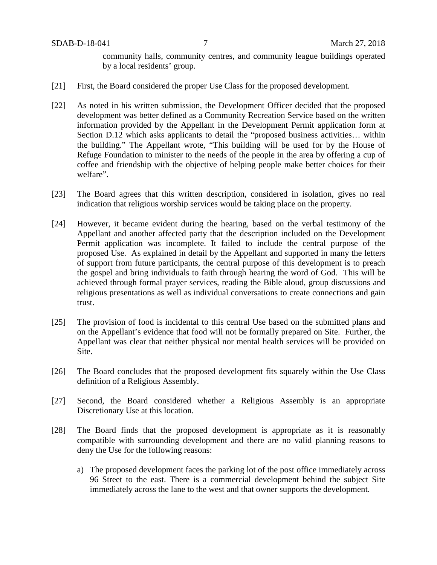community halls, community centres, and community league buildings operated by a local residents' group.

- [21] First, the Board considered the proper Use Class for the proposed development.
- [22] As noted in his written submission, the Development Officer decided that the proposed development was better defined as a Community Recreation Service based on the written information provided by the Appellant in the Development Permit application form at Section D.12 which asks applicants to detail the "proposed business activities… within the building." The Appellant wrote, "This building will be used for by the House of Refuge Foundation to minister to the needs of the people in the area by offering a cup of coffee and friendship with the objective of helping people make better choices for their welfare".
- [23] The Board agrees that this written description, considered in isolation, gives no real indication that religious worship services would be taking place on the property.
- [24] However, it became evident during the hearing, based on the verbal testimony of the Appellant and another affected party that the description included on the Development Permit application was incomplete. It failed to include the central purpose of the proposed Use. As explained in detail by the Appellant and supported in many the letters of support from future participants, the central purpose of this development is to preach the gospel and bring individuals to faith through hearing the word of God. This will be achieved through formal prayer services, reading the Bible aloud, group discussions and religious presentations as well as individual conversations to create connections and gain trust.
- [25] The provision of food is incidental to this central Use based on the submitted plans and on the Appellant's evidence that food will not be formally prepared on Site. Further, the Appellant was clear that neither physical nor mental health services will be provided on Site.
- [26] The Board concludes that the proposed development fits squarely within the Use Class definition of a Religious Assembly.
- [27] Second, the Board considered whether a Religious Assembly is an appropriate Discretionary Use at this location.
- [28] The Board finds that the proposed development is appropriate as it is reasonably compatible with surrounding development and there are no valid planning reasons to deny the Use for the following reasons:
	- a) The proposed development faces the parking lot of the post office immediately across 96 Street to the east. There is a commercial development behind the subject Site immediately across the lane to the west and that owner supports the development.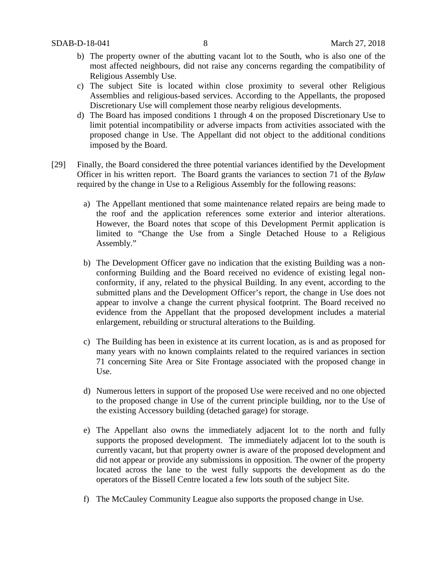- b) The property owner of the abutting vacant lot to the South, who is also one of the most affected neighbours, did not raise any concerns regarding the compatibility of Religious Assembly Use.
- c) The subject Site is located within close proximity to several other Religious Assemblies and religious-based services. According to the Appellants, the proposed Discretionary Use will complement those nearby religious developments.
- d) The Board has imposed conditions 1 through 4 on the proposed Discretionary Use to limit potential incompatibility or adverse impacts from activities associated with the proposed change in Use. The Appellant did not object to the additional conditions imposed by the Board.
- [29] Finally, the Board considered the three potential variances identified by the Development Officer in his written report. The Board grants the variances to section 71 of the *Bylaw* required by the change in Use to a Religious Assembly for the following reasons:
	- a) The Appellant mentioned that some maintenance related repairs are being made to the roof and the application references some exterior and interior alterations. However, the Board notes that scope of this Development Permit application is limited to "Change the Use from a Single Detached House to a Religious Assembly."
	- b) The Development Officer gave no indication that the existing Building was a nonconforming Building and the Board received no evidence of existing legal nonconformity, if any, related to the physical Building. In any event, according to the submitted plans and the Development Officer's report, the change in Use does not appear to involve a change the current physical footprint. The Board received no evidence from the Appellant that the proposed development includes a material enlargement, rebuilding or structural alterations to the Building.
	- c) The Building has been in existence at its current location, as is and as proposed for many years with no known complaints related to the required variances in section 71 concerning Site Area or Site Frontage associated with the proposed change in Use.
	- d) Numerous letters in support of the proposed Use were received and no one objected to the proposed change in Use of the current principle building, nor to the Use of the existing Accessory building (detached garage) for storage.
	- e) The Appellant also owns the immediately adjacent lot to the north and fully supports the proposed development. The immediately adjacent lot to the south is currently vacant, but that property owner is aware of the proposed development and did not appear or provide any submissions in opposition. The owner of the property located across the lane to the west fully supports the development as do the operators of the Bissell Centre located a few lots south of the subject Site.
	- f) The McCauley Community League also supports the proposed change in Use.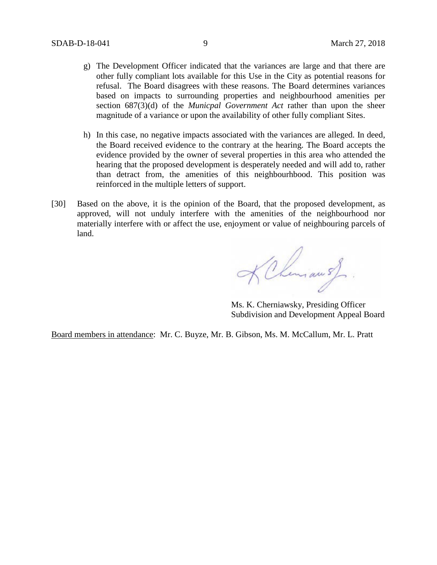- g) The Development Officer indicated that the variances are large and that there are other fully compliant lots available for this Use in the City as potential reasons for refusal. The Board disagrees with these reasons. The Board determines variances based on impacts to surrounding properties and neighbourhood amenities per section 687(3)(d) of the *Municpal Government Act* rather than upon the sheer magnitude of a variance or upon the availability of other fully compliant Sites.
- h) In this case, no negative impacts associated with the variances are alleged. In deed, the Board received evidence to the contrary at the hearing. The Board accepts the evidence provided by the owner of several properties in this area who attended the hearing that the proposed development is desperately needed and will add to, rather than detract from, the amenities of this neighbourhbood. This position was reinforced in the multiple letters of support.
- [30] Based on the above, it is the opinion of the Board, that the proposed development, as approved, will not unduly interfere with the amenities of the neighbourhood nor materially interfere with or affect the use, enjoyment or value of neighbouring parcels of land.

KChemiau of

Ms. K. Cherniawsky, Presiding Officer Subdivision and Development Appeal Board

Board members in attendance: Mr. C. Buyze, Mr. B. Gibson, Ms. M. McCallum, Mr. L. Pratt